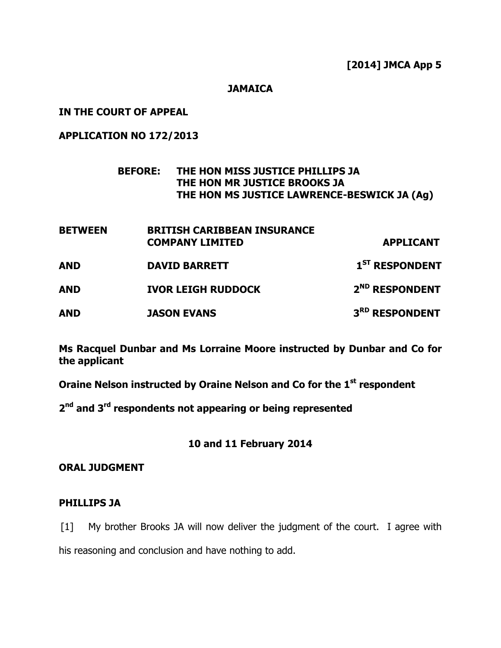### **JAMAICA**

### IN THE COURT OF APPEAL

# APPLICATION NO 172/2013

# BEFORE: THE HON MISS JUSTICE PHILLIPS JA THE HON MR JUSTICE BROOKS JA THE HON MS JUSTICE LAWRENCE-BESWICK JA (Ag)

| <b>BETWEEN</b> | <b>BRITISH CARIBBEAN INSURANCE</b> |                            |
|----------------|------------------------------------|----------------------------|
|                | <b>COMPANY LIMITED</b>             | <b>APPLICANT</b>           |
| AND            | <b>DAVID BARRETT</b>               | $1ST$ RESPONDENT           |
| AND            | <b>IVOR LEIGH RUDDOCK</b>          | 2 <sup>ND</sup> RESPONDENT |
| AND            | <b>JASON EVANS</b>                 | 3RD RESPONDENT             |

Ms Racquel Dunbar and Ms Lorraine Moore instructed by Dunbar and Co for the applicant

Oraine Nelson instructed by Oraine Nelson and Co for the 1<sup>st</sup> respondent

2<sup>nd</sup> and 3<sup>rd</sup> respondents not appearing or being represented

# 10 and 11 February 2014

### ORAL JUDGMENT

### PHILLIPS JA

[1] My brother Brooks JA will now deliver the judgment of the court. I agree with his reasoning and conclusion and have nothing to add.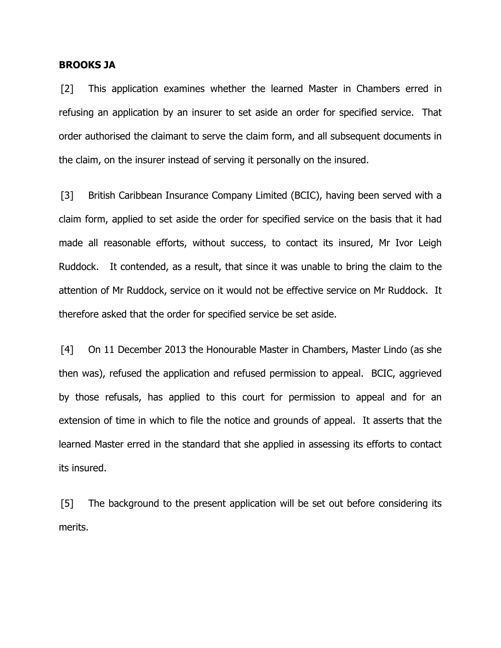#### BROOKS JA

[2] This application examines whether the learned Master in Chambers erred in refusing an application by an insurer to set aside an order for specified service. That order authorised the claimant to serve the claim form, and all subsequent documents in the claim, on the insurer instead of serving it personally on the insured.

[3] British Caribbean Insurance Company Limited (BCIC), having been served with a claim form, applied to set aside the order for specified service on the basis that it had made all reasonable efforts, without success, to contact its insured, Mr Ivor Leigh Ruddock. It contended, as a result, that since it was unable to bring the claim to the attention of Mr Ruddock, service on it would not be effective service on Mr Ruddock. It therefore asked that the order for specified service be set aside.

[4] On 11 December 2013 the Honourable Master in Chambers, Master Lindo (as she then was), refused the application and refused permission to appeal. BCIC, aggrieved by those refusals, has applied to this court for permission to appeal and for an extension of time in which to file the notice and grounds of appeal. It asserts that the learned Master erred in the standard that she applied in assessing its efforts to contact its insured.

[5] The background to the present application will be set out before considering its merits.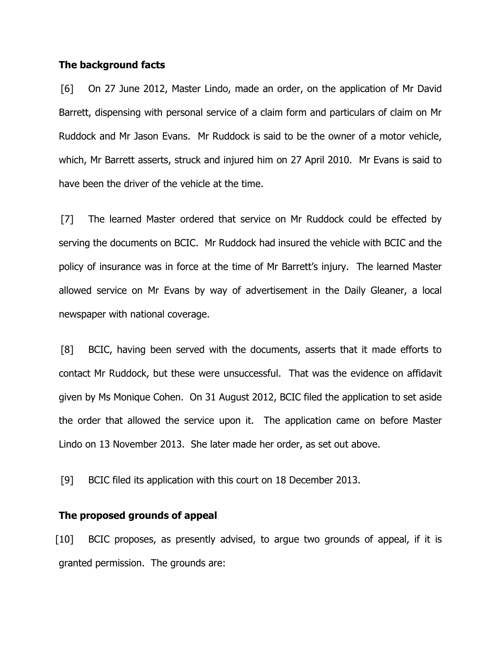#### The background facts

[6] On 27 June 2012, Master Lindo, made an order, on the application of Mr David Barrett, dispensing with personal service of a claim form and particulars of claim on Mr Ruddock and Mr Jason Evans. Mr Ruddock is said to be the owner of a motor vehicle, which, Mr Barrett asserts, struck and injured him on 27 April 2010. Mr Evans is said to have been the driver of the vehicle at the time.

[7] The learned Master ordered that service on Mr Ruddock could be effected by serving the documents on BCIC. Mr Ruddock had insured the vehicle with BCIC and the policy of insurance was in force at the time of Mr Barrett's injury. The learned Master allowed service on Mr Evans by way of advertisement in the Daily Gleaner, a local newspaper with national coverage.

[8] BCIC, having been served with the documents, asserts that it made efforts to contact Mr Ruddock, but these were unsuccessful. That was the evidence on affidavit given by Ms Monique Cohen. On 31 August 2012, BCIC filed the application to set aside the order that allowed the service upon it. The application came on before Master Lindo on 13 November 2013. She later made her order, as set out above.

[9] BCIC filed its application with this court on 18 December 2013.

#### The proposed grounds of appeal

[10] BCIC proposes, as presently advised, to argue two grounds of appeal, if it is granted permission. The grounds are: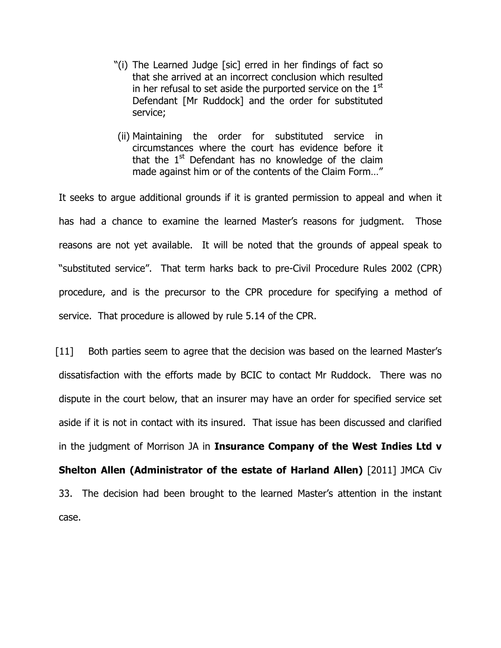- "(i) The Learned Judge [sic] erred in her findings of fact so that she arrived at an incorrect conclusion which resulted in her refusal to set aside the purported service on the  $1<sup>st</sup>$ Defendant [Mr Ruddock] and the order for substituted service;
- (ii) Maintaining the order for substituted service in circumstances where the court has evidence before it that the  $1<sup>st</sup>$  Defendant has no knowledge of the claim made against him or of the contents of the Claim Form…"

It seeks to argue additional grounds if it is granted permission to appeal and when it has had a chance to examine the learned Master's reasons for judgment. Those reasons are not yet available. It will be noted that the grounds of appeal speak to "substituted service". That term harks back to pre-Civil Procedure Rules 2002 (CPR) procedure, and is the precursor to the CPR procedure for specifying a method of service. That procedure is allowed by rule 5.14 of the CPR.

[11] Both parties seem to agree that the decision was based on the learned Master's dissatisfaction with the efforts made by BCIC to contact Mr Ruddock. There was no dispute in the court below, that an insurer may have an order for specified service set aside if it is not in contact with its insured. That issue has been discussed and clarified in the judgment of Morrison JA in Insurance Company of the West Indies Ltd v Shelton Allen (Administrator of the estate of Harland Allen) [2011] JMCA Civ 33. The decision had been brought to the learned Master's attention in the instant case.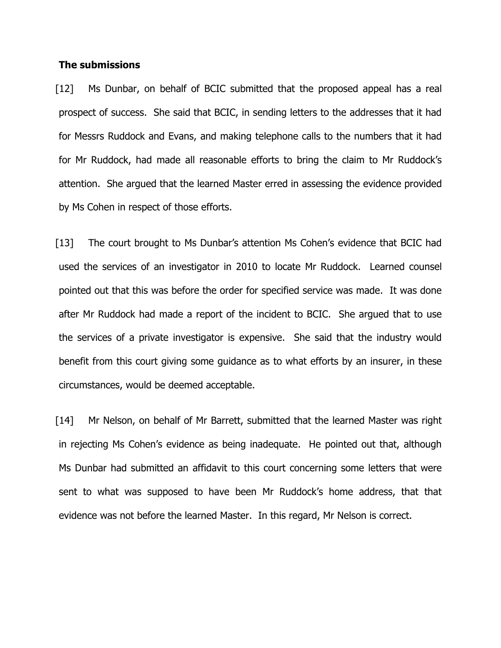#### The submissions

[12] Ms Dunbar, on behalf of BCIC submitted that the proposed appeal has a real prospect of success. She said that BCIC, in sending letters to the addresses that it had for Messrs Ruddock and Evans, and making telephone calls to the numbers that it had for Mr Ruddock, had made all reasonable efforts to bring the claim to Mr Ruddock's attention. She argued that the learned Master erred in assessing the evidence provided by Ms Cohen in respect of those efforts.

[13] The court brought to Ms Dunbar's attention Ms Cohen's evidence that BCIC had used the services of an investigator in 2010 to locate Mr Ruddock. Learned counsel pointed out that this was before the order for specified service was made. It was done after Mr Ruddock had made a report of the incident to BCIC. She argued that to use the services of a private investigator is expensive. She said that the industry would benefit from this court giving some guidance as to what efforts by an insurer, in these circumstances, would be deemed acceptable.

[14] Mr Nelson, on behalf of Mr Barrett, submitted that the learned Master was right in rejecting Ms Cohen's evidence as being inadequate. He pointed out that, although Ms Dunbar had submitted an affidavit to this court concerning some letters that were sent to what was supposed to have been Mr Ruddock's home address, that that evidence was not before the learned Master. In this regard, Mr Nelson is correct.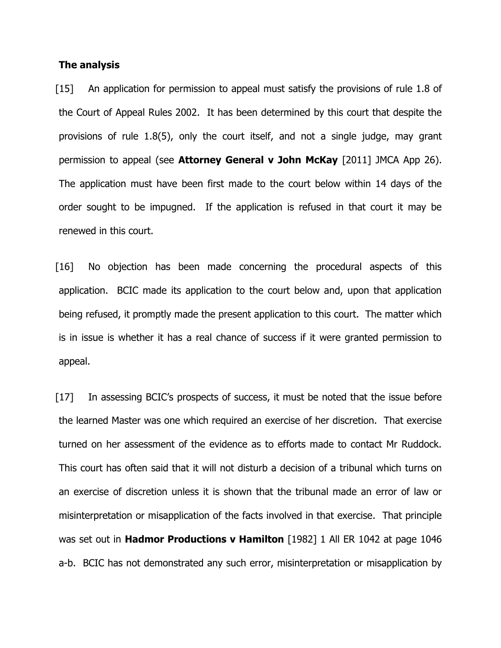#### The analysis

[15] An application for permission to appeal must satisfy the provisions of rule 1.8 of the Court of Appeal Rules 2002. It has been determined by this court that despite the provisions of rule 1.8(5), only the court itself, and not a single judge, may grant permission to appeal (see **Attorney General v John McKay** [2011] JMCA App 26). The application must have been first made to the court below within 14 days of the order sought to be impugned. If the application is refused in that court it may be renewed in this court.

[16] No objection has been made concerning the procedural aspects of this application. BCIC made its application to the court below and, upon that application being refused, it promptly made the present application to this court. The matter which is in issue is whether it has a real chance of success if it were granted permission to appeal.

[17] In assessing BCIC's prospects of success, it must be noted that the issue before the learned Master was one which required an exercise of her discretion. That exercise turned on her assessment of the evidence as to efforts made to contact Mr Ruddock. This court has often said that it will not disturb a decision of a tribunal which turns on an exercise of discretion unless it is shown that the tribunal made an error of law or misinterpretation or misapplication of the facts involved in that exercise. That principle was set out in **Hadmor Productions v Hamilton** [1982] 1 All ER 1042 at page 1046 a-b. BCIC has not demonstrated any such error, misinterpretation or misapplication by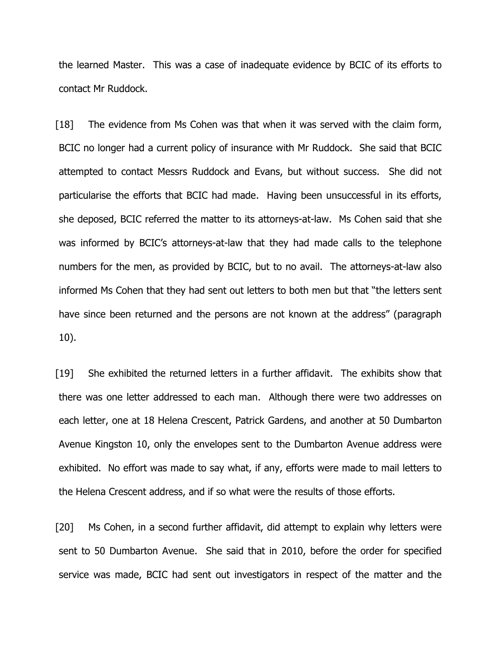the learned Master. This was a case of inadequate evidence by BCIC of its efforts to contact Mr Ruddock.

[18] The evidence from Ms Cohen was that when it was served with the claim form, BCIC no longer had a current policy of insurance with Mr Ruddock. She said that BCIC attempted to contact Messrs Ruddock and Evans, but without success. She did not particularise the efforts that BCIC had made. Having been unsuccessful in its efforts, she deposed, BCIC referred the matter to its attorneys-at-law. Ms Cohen said that she was informed by BCIC's attorneys-at-law that they had made calls to the telephone numbers for the men, as provided by BCIC, but to no avail. The attorneys-at-law also informed Ms Cohen that they had sent out letters to both men but that "the letters sent have since been returned and the persons are not known at the address" (paragraph 10).

[19] She exhibited the returned letters in a further affidavit. The exhibits show that there was one letter addressed to each man. Although there were two addresses on each letter, one at 18 Helena Crescent, Patrick Gardens, and another at 50 Dumbarton Avenue Kingston 10, only the envelopes sent to the Dumbarton Avenue address were exhibited. No effort was made to say what, if any, efforts were made to mail letters to the Helena Crescent address, and if so what were the results of those efforts.

[20] Ms Cohen, in a second further affidavit, did attempt to explain why letters were sent to 50 Dumbarton Avenue. She said that in 2010, before the order for specified service was made, BCIC had sent out investigators in respect of the matter and the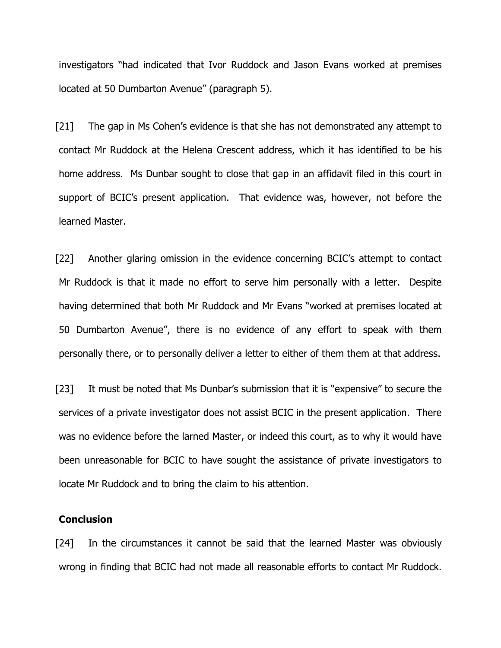investigators "had indicated that Ivor Ruddock and Jason Evans worked at premises located at 50 Dumbarton Avenue" (paragraph 5).

[21] The gap in Ms Cohen's evidence is that she has not demonstrated any attempt to contact Mr Ruddock at the Helena Crescent address, which it has identified to be his home address. Ms Dunbar sought to close that gap in an affidavit filed in this court in support of BCIC's present application. That evidence was, however, not before the learned Master.

[22] Another glaring omission in the evidence concerning BCIC's attempt to contact Mr Ruddock is that it made no effort to serve him personally with a letter. Despite having determined that both Mr Ruddock and Mr Evans "worked at premises located at 50 Dumbarton Avenue", there is no evidence of any effort to speak with them personally there, or to personally deliver a letter to either of them them at that address.

[23] It must be noted that Ms Dunbar's submission that it is "expensive" to secure the services of a private investigator does not assist BCIC in the present application. There was no evidence before the larned Master, or indeed this court, as to why it would have been unreasonable for BCIC to have sought the assistance of private investigators to locate Mr Ruddock and to bring the claim to his attention.

### **Conclusion**

[24] In the circumstances it cannot be said that the learned Master was obviously wrong in finding that BCIC had not made all reasonable efforts to contact Mr Ruddock.